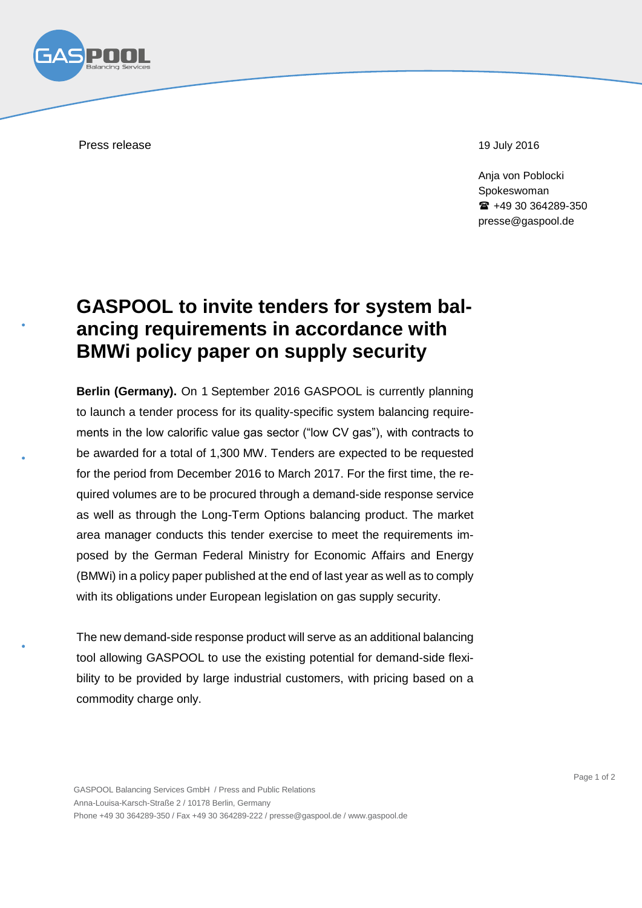

Press release 19 July 2016

Anja von Poblocki Spokeswoman +49 30 364289-350 presse@gaspool.de

## **GASPOOL to invite tenders for system balancing requirements in accordance with BMWi policy paper on supply security**

**Berlin (Germany).** On 1 September 2016 GASPOOL is currently planning to launch a tender process for its quality-specific system balancing requirements in the low calorific value gas sector ("low CV gas"), with contracts to be awarded for a total of 1,300 MW. Tenders are expected to be requested for the period from December 2016 to March 2017. For the first time, the required volumes are to be procured through a demand-side response service as well as through the Long-Term Options balancing product. The market area manager conducts this tender exercise to meet the requirements imposed by the German Federal Ministry for Economic Affairs and Energy (BMWi) in a policy paper published at the end of last year as well as to comply with its obligations under European legislation on gas supply security.

The new demand-side response product will serve as an additional balancing tool allowing GASPOOL to use the existing potential for demand-side flexibility to be provided by large industrial customers, with pricing based on a commodity charge only.